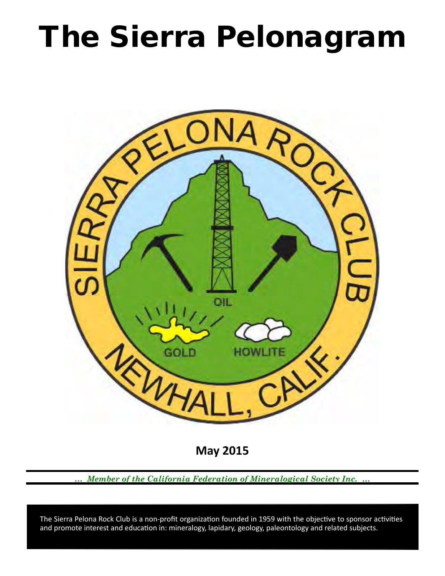# The Sierra Pelonagram



**May 2015**

*… Member of the California Federation of Mineralogical Society Inc. …*

 and promote interest and education in: mineralogy, lapidary, geology, paleontology and related subjects. The Sierra Pelona Rock Club is a non-profit organization founded in 1959 with the objective to sponsor activities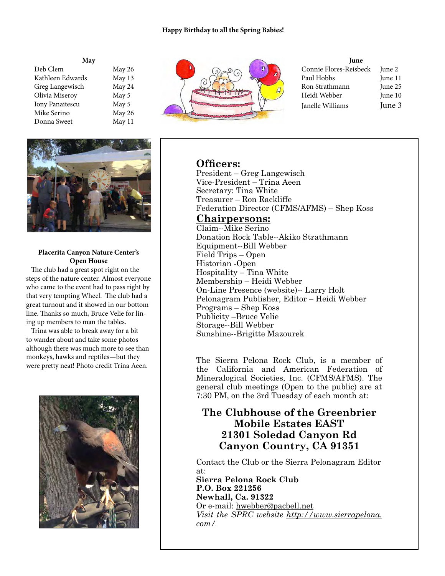### **Happy Birthday to all the Spring Babies!**

| May              |        |
|------------------|--------|
| Deb Clem         | May 26 |
| Kathleen Edwards | May 13 |
| Greg Langewisch  | May 24 |
| Olivia Miseroy   | May 5  |
| Iony Panaitescu  | May 5  |
| Mike Serino      | May 26 |
| Donna Sweet      | May 11 |



## **Placerita Canyon Nature Center's Open House**

 The club had a great spot right on the steps of the nature center. Almost everyone who came to the event had to pass right by that very tempting Wheel. The club had a great turnout and it showed in our bottom line. Thanks so much, Bruce Velie for lining up members to man the tables.

 Trina was able to break away for a bit to wander about and take some photos although there was much more to see than monkeys, hawks and reptiles—but they were pretty neat! Photo credit Trina Aeen.





#### **June**

| Connie Flores-Reisbeck | June 2  |
|------------------------|---------|
| Paul Hobbs             | June 11 |
| Ron Strathmann         | June 25 |
| Heidi Webber           | June 10 |
| Janelle Williams       | June 3  |

# **Officers:**

President – Greg Langewisch Vice‑President – Trina Aeen Secretary: Tina White Treasurer – Ron Rackliffe Federation Director (CFMS/AFMS) – Shep Koss

# **Chairpersons:**

Claim--Mike Serino Donation Rock Table--Akiko Strathmann Equipment--Bill Webber Field Trips – Open Historian ‑Open Hospitality – Tina White Membership – Heidi Webber On-Line Presence (website)-- Larry Holt Pelonagram Publisher, Editor – Heidi Webber Programs – Shep Koss Publicity –Bruce Velie Storage--Bill Webber Sunshine--Brigitte Mazourek

The Sierra Pelona Rock Club, is a member of the California and American Federation of Mineralogical Societies, Inc. (CFMS/AFMS). The general club meetings (Open to the public) are at 7:30 PM, on the 3rd Tuesday of each month at:

# **The Clubhouse of the Greenbrier Mobile Estates EAST 21301 Soledad Canyon Rd Canyon Country, CA 91351**

Contact the Club or the Sierra Pelonagram Editor at: **Sierra Pelona Rock Club**

**P.O. Box 221256 Newhall, Ca. 91322** Or e‑mail: hwebber@pacbell.net *Visit the SPRC website http://www.sierrapelona. com/*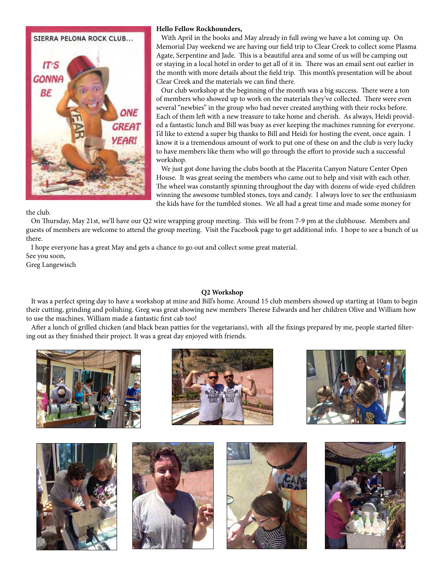

#### **Hello Fellow Rockhounders,**

 With April in the books and May already in full swing we have a lot coming up. On Memorial Day weekend we are having our field trip to Clear Creek to collect some Plasma Agate, Serpentine and Jade. This is a beautiful area and some of us will be camping out or staying in a local hotel in order to get all of it in. There was an email sent out earlier in the month with more details about the field trip. This month's presentation will be about Clear Creek and the materials we can find there.

 Our club workshop at the beginning of the month was a big success. There were a ton of members who showed up to work on the materials they've collected. There were even several "newbies" in the group who had never created anything with their rocks before. Each of them left with a new treasure to take home and cherish. As always, Heidi provided a fantastic lunch and Bill was busy as ever keeping the machines running for everyone. I'd like to extend a super big thanks to Bill and Heidi for hosting the event, once again. I know it is a tremendous amount of work to put one of these on and the club is very lucky to have members like them who will go through the effort to provide such a successful workshop.

 We just got done having the clubs booth at the Placerita Canyon Nature Center Open House. It was great seeing the members who came out to help and visit with each other. The wheel was constantly spinning throughout the day with dozens of wide-eyed children winning the awesome tumbled stones, toys and candy. I always love to see the enthusiasm the kids have for the tumbled stones. We all had a great time and made some money for

the club.

 On Thursday, May 21st, we'll have our Q2 wire wrapping group meeting. This will be from 7-9 pm at the clubhouse. Members and guests of members are welcome to attend the group meeting. Visit the Facebook page to get additional info. I hope to see a bunch of us there.

 I hope everyone has a great May and gets a chance to go out and collect some great material. See you soon,

Greg Langewisch

## **Q2 Workshop**

 It was a perfect spring day to have a workshop at mine and Bill's home. Around 15 club members showed up starting at 10am to begin their cutting, grinding and polishing. Greg was great showing new members Therese Edwards and her children Olive and William how to use the machines. William made a fantastic first cab too!

 After a lunch of grilled chicken (and black bean patties for the vegetarians), with all the fixings prepared by me, people started filtering out as they finished their project. It was a great day enjoyed with friends.













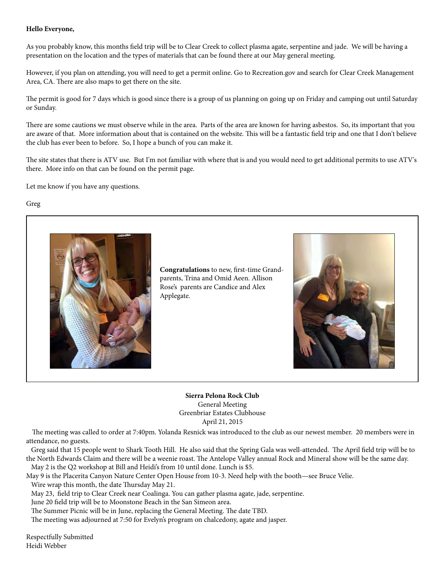## **Hello Everyone,**

As you probably know, this months field trip will be to Clear Creek to collect plasma agate, serpentine and jade. We will be having a presentation on the location and the types of materials that can be found there at our May general meeting.

However, if you plan on attending, you will need to get a permit online. Go to Recreation.gov and search for Clear Creek Management Area, CA. There are also maps to get there on the site.

The permit is good for 7 days which is good since there is a group of us planning on going up on Friday and camping out until Saturday or Sunday.

There are some cautions we must observe while in the area. Parts of the area are known for having asbestos. So, its important that you are aware of that. More information about that is contained on the website. This will be a fantastic field trip and one that I don't believe the club has ever been to before. So, I hope a bunch of you can make it.

The site states that there is ATV use. But I'm not familiar with where that is and you would need to get additional permits to use ATV's there. More info on that can be found on the permit page.

Let me know if you have any questions.

## Greg



**Congratulations** to new, first-time Grandparents, Trina and Omid Aeen. Allison Rose's parents are Candice and Alex Applegate.



**Sierra Pelona Rock Club** General Meeting Greenbriar Estates Clubhouse April 21, 2015

 The meeting was called to order at 7:40pm. Yolanda Resnick was introduced to the club as our newest member. 20 members were in attendance, no guests.

 Greg said that 15 people went to Shark Tooth Hill. He also said that the Spring Gala was well-attended. The April field trip will be to the North Edwards Claim and there will be a weenie roast. The Antelope Valley annual Rock and Mineral show will be the same day. May 2 is the Q2 workshop at Bill and Heidi's from 10 until done. Lunch is \$5.

May 9 is the Placerita Canyon Nature Center Open House from 10-3. Need help with the booth—see Bruce Velie. Wire wrap this month, the date Thursday May 21.

May 23, field trip to Clear Creek near Coalinga. You can gather plasma agate, jade, serpentine.

June 20 field trip will be to Moonstone Beach in the San Simeon area.

The Summer Picnic will be in June, replacing the General Meeting. The date TBD.

The meeting was adjourned at 7:50 for Evelyn's program on chalcedony, agate and jasper.

Respectfully Submitted Heidi Webber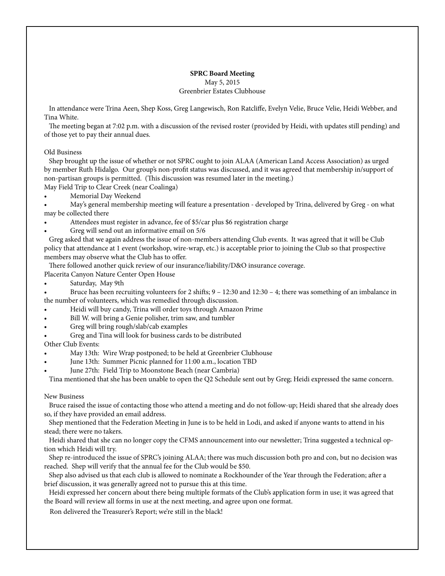# **SPRC Board Meeting** May 5, 2015 Greenbrier Estates Clubhouse

 In attendance were Trina Aeen, Shep Koss, Greg Langewisch, Ron Ratcliffe, Evelyn Velie, Bruce Velie, Heidi Webber, and Tina White.

 The meeting began at 7:02 p.m. with a discussion of the revised roster (provided by Heidi, with updates still pending) and of those yet to pay their annual dues.

#### Old Business

 Shep brought up the issue of whether or not SPRC ought to join ALAA (American Land Access Association) as urged by member Ruth Hidalgo. Our group's non-profit status was discussed, and it was agreed that membership in/support of non-partisan groups is permitted. (This discussion was resumed later in the meeting.)

May Field Trip to Clear Creek (near Coalinga)

Memorial Day Weekend

• May's general membership meeting will feature a presentation - developed by Trina, delivered by Greg - on what may be collected there

• Attendees must register in advance, fee of \$5/car plus \$6 registration charge

• Greg will send out an informative email on 5/6

 Greg asked that we again address the issue of non-members attending Club events. It was agreed that it will be Club policy that attendance at 1 event (workshop, wire-wrap, etc.) is acceptable prior to joining the Club so that prospective members may observe what the Club has to offer.

There followed another quick review of our insurance/liability/D&O insurance coverage.

Placerita Canyon Nature Center Open House

Saturday, May 9th

• Bruce has been recruiting volunteers for 2 shifts; 9 – 12:30 and 12:30 – 4; there was something of an imbalance in the number of volunteers, which was remedied through discussion.

- Heidi will buy candy, Trina will order toys through Amazon Prime
- Bill W. will bring a Genie polisher, trim saw, and tumbler
- Greg will bring rough/slab/cab examples
- Greg and Tina will look for business cards to be distributed

Other Club Events:

- May 13th: Wire Wrap postponed; to be held at Greenbrier Clubhouse
- June 13th: Summer Picnic planned for 11:00 a.m., location TBD
- June 27th: Field Trip to Moonstone Beach (near Cambria)

Tina mentioned that she has been unable to open the Q2 Schedule sent out by Greg; Heidi expressed the same concern.

#### New Business

 Bruce raised the issue of contacting those who attend a meeting and do not follow-up; Heidi shared that she already does so, if they have provided an email address.

 Shep mentioned that the Federation Meeting in June is to be held in Lodi, and asked if anyone wants to attend in his stead; there were no takers.

 Heidi shared that she can no longer copy the CFMS announcement into our newsletter; Trina suggested a technical option which Heidi will try.

 Shep re-introduced the issue of SPRC's joining ALAA; there was much discussion both pro and con, but no decision was reached. Shep will verify that the annual fee for the Club would be \$50.

 Shep also advised us that each club is allowed to nominate a Rockhounder of the Year through the Federation; after a brief discussion, it was generally agreed not to pursue this at this time.

 Heidi expressed her concern about there being multiple formats of the Club's application form in use; it was agreed that the Board will review all forms in use at the next meeting, and agree upon one format.

Ron delivered the Treasurer's Report; we're still in the black!